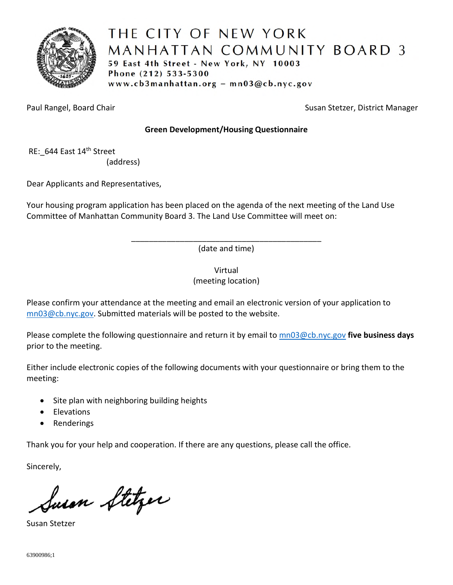

# THE CITY OF NEW YORK MANHATTAN COMMUNITY BOARD 3 59 East 4th Street - New York, NY 10003 Phone (212) 533-5300 www.cb3manhattan.org - mn03@cb.nyc.gov

Paul Rangel, Board Chair Susan Stetzer, District Manager

# **Green Development/Housing Questionnaire**

RE: 644 East 14<sup>th</sup> Street

(address)

Dear Applicants and Representatives,

Your housing program application has been placed on the agenda of the next meeting of the Land Use Committee of Manhattan Community Board 3. The Land Use Committee will meet on:

> \_\_\_\_\_\_\_\_\_\_\_\_\_\_\_\_\_\_\_\_\_\_\_\_\_\_\_\_\_\_\_\_\_\_\_\_\_\_\_\_\_\_\_ (date and time)

> > Virtual (meeting location)

Please confirm your attendance at the meeting and email an electronic version of your application to mn03@cb.nyc.gov. Submitted materials will be posted to the website.

Please complete the following questionnaire and return it by email to mn03@cb.nyc.gov **five business days**  prior to the meeting.

Either include electronic copies of the following documents with your questionnaire or bring them to the meeting:

- Site plan with neighboring building heights
- **•** Elevations
- Renderings

Thank you for your help and cooperation. If there are any questions, please call the office.

Sincerely,

Susan Stetzer

Susan Stetzer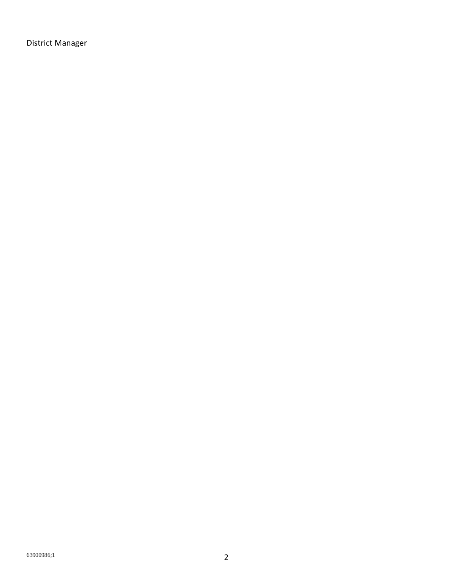District Manager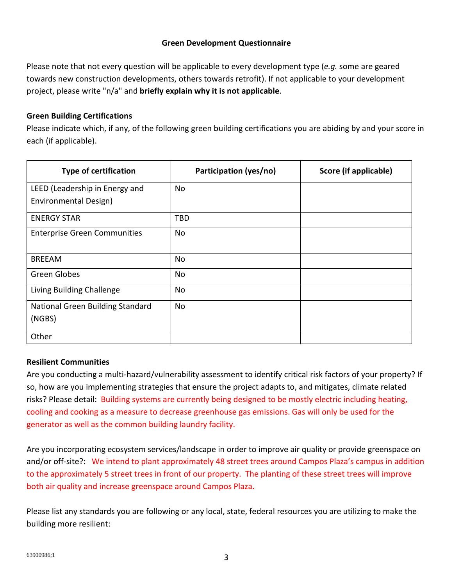## **Green Development Questionnaire**

Please note that not every question will be applicable to every development type (*e.g.* some are geared towards new construction developments, others towards retrofit). If not applicable to your development project, please write "n/a" and **briefly explain why it is not applicable**.

## **Green Building Certifications**

Please indicate which, if any, of the following green building certifications you are abiding by and your score in each (if applicable).

| <b>Type of certification</b>        | Participation (yes/no) | Score (if applicable) |
|-------------------------------------|------------------------|-----------------------|
| LEED (Leadership in Energy and      | No                     |                       |
| Environmental Design)               |                        |                       |
| <b>ENERGY STAR</b>                  | TBD                    |                       |
| <b>Enterprise Green Communities</b> | No                     |                       |
| <b>BREEAM</b>                       | No                     |                       |
| Green Globes                        | No                     |                       |
| Living Building Challenge           | No                     |                       |
| National Green Building Standard    | No                     |                       |
| (NGBS)                              |                        |                       |
| Other                               |                        |                       |

## **Resilient Communities**

Are you conducting a multi-hazard/vulnerability assessment to identify critical risk factors of your property? If so, how are you implementing strategies that ensure the project adapts to, and mitigates, climate related risks? Please detail: Building systems are currently being designed to be mostly electric including heating, cooling and cooking as a measure to decrease greenhouse gas emissions. Gas will only be used for the generator as well as the common building laundry facility.

Are you incorporating ecosystem services/landscape in order to improve air quality or provide greenspace on and/or off-site?: We intend to plant approximately 48 street trees around Campos Plaza's campus in addition to the approximately 5 street trees in front of our property. The planting of these street trees will improve both air quality and increase greenspace around Campos Plaza.

Please list any standards you are following or any local, state, federal resources you are utilizing to make the building more resilient: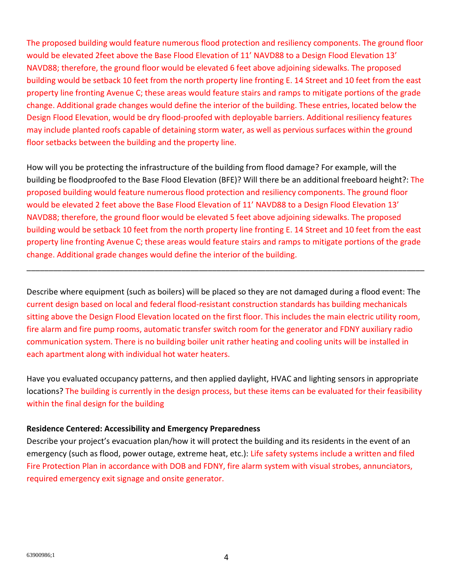The proposed building would feature numerous flood protection and resiliency components. The ground floor would be elevated 2feet above the Base Flood Elevation of 11' NAVD88 to a Design Flood Elevation 13' NAVD88; therefore, the ground floor would be elevated 6 feet above adjoining sidewalks. The proposed building would be setback 10 feet from the north property line fronting E. 14 Street and 10 feet from the east property line fronting Avenue C; these areas would feature stairs and ramps to mitigate portions of the grade change. Additional grade changes would define the interior of the building. These entries, located below the Design Flood Elevation, would be dry flood-proofed with deployable barriers. Additional resiliency features may include planted roofs capable of detaining storm water, as well as pervious surfaces within the ground floor setbacks between the building and the property line.

How will you be protecting the infrastructure of the building from flood damage? For example, will the building be floodproofed to the Base Flood Elevation (BFE)? Will there be an additional freeboard height?: The proposed building would feature numerous flood protection and resiliency components. The ground floor would be elevated 2 feet above the Base Flood Elevation of 11' NAVD88 to a Design Flood Elevation 13' NAVD88; therefore, the ground floor would be elevated 5 feet above adjoining sidewalks. The proposed building would be setback 10 feet from the north property line fronting E. 14 Street and 10 feet from the east property line fronting Avenue C; these areas would feature stairs and ramps to mitigate portions of the grade change. Additional grade changes would define the interior of the building.

\_\_\_\_\_\_\_\_\_\_\_\_\_\_\_\_\_\_\_\_\_\_\_\_\_\_\_\_\_\_\_\_\_\_\_\_\_\_\_\_\_\_\_\_\_\_\_\_\_\_\_\_\_\_\_\_\_\_\_\_\_\_\_\_\_\_\_\_\_\_\_\_\_\_\_\_\_\_\_\_\_\_\_\_\_\_\_\_\_\_

Describe where equipment (such as boilers) will be placed so they are not damaged during a flood event: The current design based on local and federal flood-resistant construction standards has building mechanicals sitting above the Design Flood Elevation located on the first floor. This includes the main electric utility room, fire alarm and fire pump rooms, automatic transfer switch room for the generator and FDNY auxiliary radio communication system. There is no building boiler unit rather heating and cooling units will be installed in each apartment along with individual hot water heaters.

Have you evaluated occupancy patterns, and then applied daylight, HVAC and lighting sensors in appropriate locations? The building is currently in the design process, but these items can be evaluated for their feasibility within the final design for the building

#### **Residence Centered: Accessibility and Emergency Preparedness**

Describe your project's evacuation plan/how it will protect the building and its residents in the event of an emergency (such as flood, power outage, extreme heat, etc.): Life safety systems include a written and filed Fire Protection Plan in accordance with DOB and FDNY, fire alarm system with visual strobes, annunciators, required emergency exit signage and onsite generator.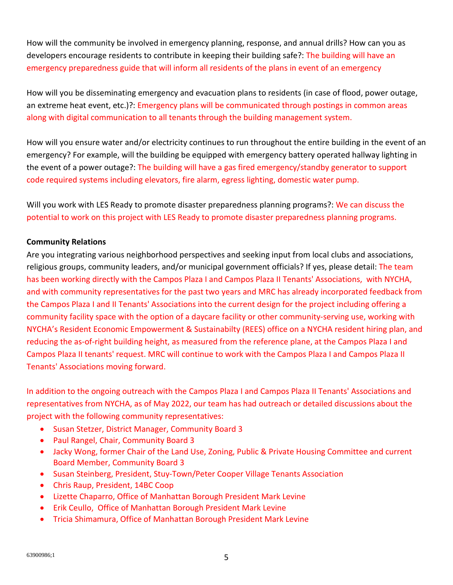How will the community be involved in emergency planning, response, and annual drills? How can you as developers encourage residents to contribute in keeping their building safe?: The building will have an emergency preparedness guide that will inform all residents of the plans in event of an emergency

How will you be disseminating emergency and evacuation plans to residents (in case of flood, power outage, an extreme heat event, etc.)?: Emergency plans will be communicated through postings in common areas along with digital communication to all tenants through the building management system.

How will you ensure water and/or electricity continues to run throughout the entire building in the event of an emergency? For example, will the building be equipped with emergency battery operated hallway lighting in the event of a power outage?: The building will have a gas fired emergency/standby generator to support code required systems including elevators, fire alarm, egress lighting, domestic water pump.

Will you work with LES Ready to promote disaster preparedness planning programs?: We can discuss the potential to work on this project with LES Ready to promote disaster preparedness planning programs.

## **Community Relations**

Are you integrating various neighborhood perspectives and seeking input from local clubs and associations, religious groups, community leaders, and/or municipal government officials? If yes, please detail: The team has been working directly with the Campos Plaza I and Campos Plaza II Tenants' Associations, with NYCHA, and with community representatives for the past two years and MRC has already incorporated feedback from the Campos Plaza I and II Tenants' Associations into the current design for the project including offering a community facility space with the option of a daycare facility or other community-serving use, working with NYCHA's Resident Economic Empowerment & Sustainabilty (REES) office on a NYCHA resident hiring plan, and reducing the as-of-right building height, as measured from the reference plane, at the Campos Plaza I and Campos Plaza II tenants' request. MRC will continue to work with the Campos Plaza I and Campos Plaza II Tenants' Associations moving forward.

In addition to the ongoing outreach with the Campos Plaza I and Campos Plaza II Tenants' Associations and representatives from NYCHA, as of May 2022, our team has had outreach or detailed discussions about the project with the following community representatives:

- Susan Stetzer, District Manager, Community Board 3
- Paul Rangel, Chair, Community Board 3
- Jacky Wong, former Chair of the Land Use, Zoning, Public & Private Housing Committee and current Board Member, Community Board 3
- Susan Steinberg, President, Stuy-Town/Peter Cooper Village Tenants Association
- Chris Raup, President, 14BC Coop
- Lizette Chaparro, Office of Manhattan Borough President Mark Levine
- Erik Ceullo, Office of Manhattan Borough President Mark Levine
- Tricia Shimamura, Office of Manhattan Borough President Mark Levine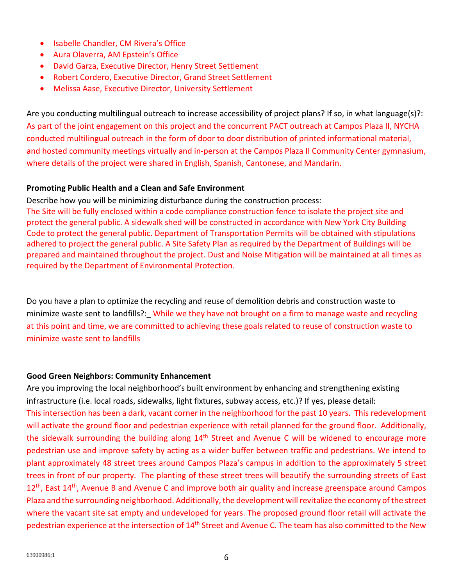- Isabelle Chandler, CM Rivera's Office
- Aura Olaverra, AM Epstein's Office
- David Garza, Executive Director, Henry Street Settlement
- Robert Cordero, Executive Director, Grand Street Settlement
- Melissa Aase, Executive Director, University Settlement

Are you conducting multilingual outreach to increase accessibility of project plans? If so, in what language(s)?: As part of the joint engagement on this project and the concurrent PACT outreach at Campos Plaza II, NYCHA conducted multilingual outreach in the form of door to door distribution of printed informational material, and hosted community meetings virtually and in-person at the Campos Plaza II Community Center gymnasium, where details of the project were shared in English, Spanish, Cantonese, and Mandarin.

## **Promoting Public Health and a Clean and Safe Environment**

Describe how you will be minimizing disturbance during the construction process:

The Site will be fully enclosed within a code compliance construction fence to isolate the project site and protect the general public. A sidewalk shed will be constructed in accordance with New York City Building Code to protect the general public. Department of Transportation Permits will be obtained with stipulations adhered to project the general public. A Site Safety Plan as required by the Department of Buildings will be prepared and maintained throughout the project. Dust and Noise Mitigation will be maintained at all times as required by the Department of Environmental Protection.

Do you have a plan to optimize the recycling and reuse of demolition debris and construction waste to minimize waste sent to landfills?: While we they have not brought on a firm to manage waste and recycling at this point and time, we are committed to achieving these goals related to reuse of construction waste to minimize waste sent to landfills

## **Good Green Neighbors: Community Enhancement**

Are you improving the local neighborhood's built environment by enhancing and strengthening existing infrastructure (i.e. local roads, sidewalks, light fixtures, subway access, etc.)? If yes, please detail: This intersection has been a dark, vacant corner in the neighborhood for the past 10 years. This redevelopment will activate the ground floor and pedestrian experience with retail planned for the ground floor. Additionally, the sidewalk surrounding the building along 14<sup>th</sup> Street and Avenue C will be widened to encourage more pedestrian use and improve safety by acting as a wider buffer between traffic and pedestrians. We intend to plant approximately 48 street trees around Campos Plaza's campus in addition to the approximately 5 street trees in front of our property. The planting of these street trees will beautify the surrounding streets of East 12<sup>th</sup>, East 14<sup>th</sup>, Avenue B and Avenue C and improve both air quality and increase greenspace around Campos Plaza and the surrounding neighborhood. Additionally, the development will revitalize the economy of the street where the vacant site sat empty and undeveloped for years. The proposed ground floor retail will activate the pedestrian experience at the intersection of 14<sup>th</sup> Street and Avenue C. The team has also committed to the New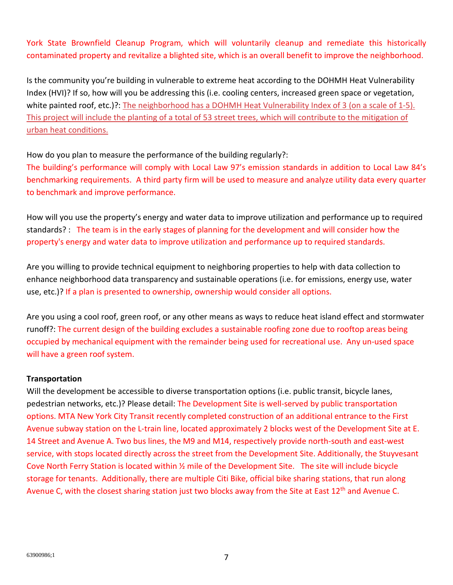York State Brownfield Cleanup Program, which will voluntarily cleanup and remediate this historically contaminated property and revitalize a blighted site, which is an overall benefit to improve the neighborhood.

Is the community you're building in vulnerable to extreme heat according to the DOHMH Heat Vulnerability Index (HVI)? If so, how will you be addressing this (i.e. cooling centers, increased green space or vegetation, white painted roof, etc.)?: The neighborhood has a DOHMH Heat Vulnerability Index of 3 (on a scale of 1-5). This project will include the planting of a total of 53 street trees, which will contribute to the mitigation of urban heat conditions.

How do you plan to measure the performance of the building regularly?:

The building's performance will comply with Local Law 97's emission standards in addition to Local Law 84's benchmarking requirements. A third party firm will be used to measure and analyze utility data every quarter to benchmark and improve performance.

How will you use the property's energy and water data to improve utilization and performance up to required standards? : The team is in the early stages of planning for the development and will consider how the property's energy and water data to improve utilization and performance up to required standards.

Are you willing to provide technical equipment to neighboring properties to help with data collection to enhance neighborhood data transparency and sustainable operations (i.e. for emissions, energy use, water use, etc.)? If a plan is presented to ownership, ownership would consider all options.

Are you using a cool roof, green roof, or any other means as ways to reduce heat island effect and stormwater runoff?: The current design of the building excludes a sustainable roofing zone due to rooftop areas being occupied by mechanical equipment with the remainder being used for recreational use. Any un-used space will have a green roof system.

## **Transportation**

Will the development be accessible to diverse transportation options (i.e. public transit, bicycle lanes, pedestrian networks, etc.)? Please detail: The Development Site is well-served by public transportation options. MTA New York City Transit recently completed construction of an additional entrance to the First Avenue subway station on the L-train line, located approximately 2 blocks west of the Development Site at E. 14 Street and Avenue A. Two bus lines, the M9 and M14, respectively provide north-south and east-west service, with stops located directly across the street from the Development Site. Additionally, the Stuyvesant Cove North Ferry Station is located within ½ mile of the Development Site. The site will include bicycle storage for tenants. Additionally, there are multiple Citi Bike, official bike sharing stations, that run along Avenue C, with the closest sharing station just two blocks away from the Site at East 12<sup>th</sup> and Avenue C.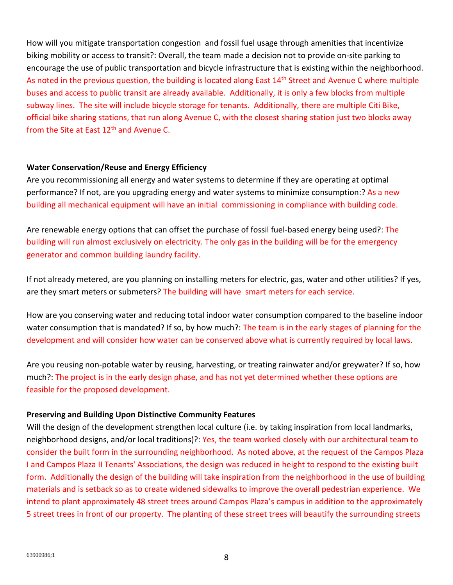How will you mitigate transportation congestion and fossil fuel usage through amenities that incentivize biking mobility or access to transit?: Overall, the team made a decision not to provide on-site parking to encourage the use of public transportation and bicycle infrastructure that is existing within the neighborhood. As noted in the previous question, the building is located along East 14<sup>th</sup> Street and Avenue C where multiple buses and access to public transit are already available. Additionally, it is only a few blocks from multiple subway lines. The site will include bicycle storage for tenants. Additionally, there are multiple Citi Bike, official bike sharing stations, that run along Avenue C, with the closest sharing station just two blocks away from the Site at East 12<sup>th</sup> and Avenue C.

## **Water Conservation/Reuse and Energy Efficiency**

Are you recommissioning all energy and water systems to determine if they are operating at optimal performance? If not, are you upgrading energy and water systems to minimize consumption:? As a new building all mechanical equipment will have an initial commissioning in compliance with building code.

Are renewable energy options that can offset the purchase of fossil fuel-based energy being used?: The building will run almost exclusively on electricity. The only gas in the building will be for the emergency generator and common building laundry facility.

If not already metered, are you planning on installing meters for electric, gas, water and other utilities? If yes, are they smart meters or submeters? The building will have smart meters for each service.

How are you conserving water and reducing total indoor water consumption compared to the baseline indoor water consumption that is mandated? If so, by how much?: The team is in the early stages of planning for the development and will consider how water can be conserved above what is currently required by local laws.

Are you reusing non-potable water by reusing, harvesting, or treating rainwater and/or greywater? If so, how much?: The project is in the early design phase, and has not yet determined whether these options are feasible for the proposed development.

## **Preserving and Building Upon Distinctive Community Features**

Will the design of the development strengthen local culture (i.e. by taking inspiration from local landmarks, neighborhood designs, and/or local traditions)?: Yes, the team worked closely with our architectural team to consider the built form in the surrounding neighborhood. As noted above, at the request of the Campos Plaza I and Campos Plaza II Tenants' Associations, the design was reduced in height to respond to the existing built form. Additionally the design of the building will take inspiration from the neighborhood in the use of building materials and is setback so as to create widened sidewalks to improve the overall pedestrian experience. We intend to plant approximately 48 street trees around Campos Plaza's campus in addition to the approximately 5 street trees in front of our property. The planting of these street trees will beautify the surrounding streets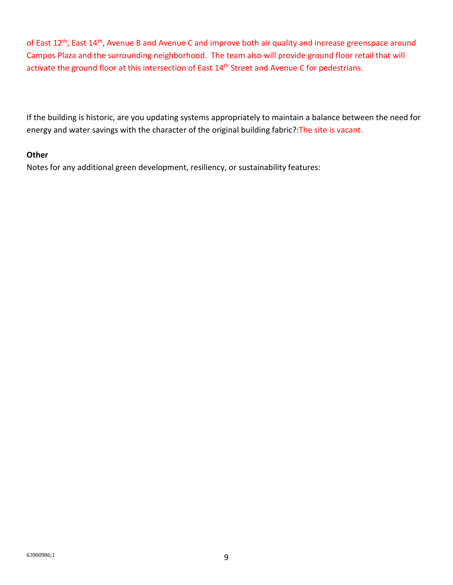of East 12<sup>th</sup>, East 14<sup>th</sup>, Avenue B and Avenue C and improve both air quality and increase greenspace around Campos Plaza and the surrounding neighborhood. The team also will provide ground floor retail that will activate the ground floor at this intersection of East 14<sup>th</sup> Street and Avenue C for pedestrians.

If the building is historic, are you updating systems appropriately to maintain a balance between the need for energy and water savings with the character of the original building fabric?:The site is vacant.

## **Other**

Notes for any additional green development, resiliency, or sustainability features: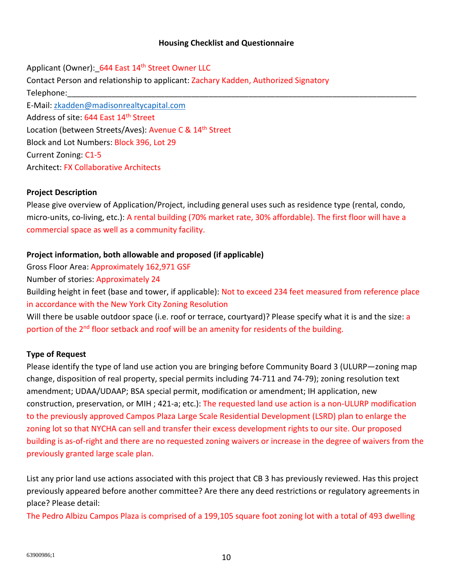#### **Housing Checklist and Questionnaire**

Applicant (Owner): 644 East 14<sup>th</sup> Street Owner LLC Contact Person and relationship to applicant: Zachary Kadden, Authorized Signatory Telephone:\_\_\_\_\_\_\_\_\_\_\_\_\_\_\_\_\_\_\_\_\_\_\_\_\_\_\_\_\_\_\_\_\_\_\_\_\_\_\_\_\_\_\_\_\_\_\_\_\_\_\_\_\_\_\_\_\_\_\_\_\_\_\_\_\_\_\_\_\_\_\_\_\_\_\_\_\_\_\_ E-Mail: zkadden@madisonrealtycapital.com Address of site: 644 East 14<sup>th</sup> Street Location (between Streets/Aves): Avenue C & 14<sup>th</sup> Street Block and Lot Numbers: Block 396, Lot 29 Current Zoning: C1-5 Architect: FX Collaborative Architects

#### **Project Description**

Please give overview of Application/Project, including general uses such as residence type (rental, condo, micro-units, co-living, etc.): A rental building (70% market rate, 30% affordable). The first floor will have a commercial space as well as a community facility.

#### **Project information, both allowable and proposed (if applicable)**

Gross Floor Area: Approximately 162,971 GSF

Number of stories: Approximately 24

Building height in feet (base and tower, if applicable): Not to exceed 234 feet measured from reference place in accordance with the New York City Zoning Resolution

Will there be usable outdoor space (i.e. roof or terrace, courtyard)? Please specify what it is and the size: a portion of the 2<sup>nd</sup> floor setback and roof will be an amenity for residents of the building.

#### **Type of Request**

Please identify the type of land use action you are bringing before Community Board 3 (ULURP—zoning map change, disposition of real property, special permits including 74-711 and 74-79); zoning resolution text amendment; UDAA/UDAAP; BSA special permit, modification or amendment; IH application, new construction, preservation, or MIH ; 421-a; etc.): The requested land use action is a non-ULURP modification to the previously approved Campos Plaza Large Scale Residential Development (LSRD) plan to enlarge the zoning lot so that NYCHA can sell and transfer their excess development rights to our site. Our proposed building is as-of-right and there are no requested zoning waivers or increase in the degree of waivers from the previously granted large scale plan.

List any prior land use actions associated with this project that CB 3 has previously reviewed. Has this project previously appeared before another committee? Are there any deed restrictions or regulatory agreements in place? Please detail:

The Pedro Albizu Campos Plaza is comprised of a 199,105 square foot zoning lot with a total of 493 dwelling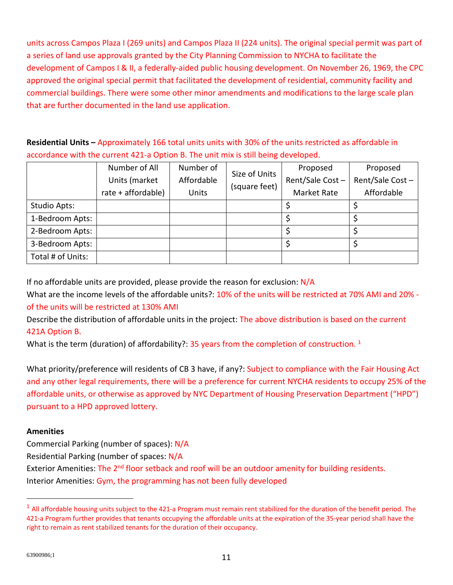units across Campos Plaza I (269 units) and Campos Plaza II (224 units). The original special permit was part of a series of land use approvals granted by the City Planning Commission to NYCHA to facilitate the development of Campos I & II, a federally-aided public housing development. On November 26, 1969, the CPC approved the original special permit that facilitated the development of residential, community facility and commercial buildings. There were some other minor amendments and modifications to the large scale plan that are further documented in the land use application.

**Residential Units –** Approximately 166 total units units with 30% of the units restricted as affordable in accordance with the current 421-a Option B. The unit mix is still being developed.

|                   | Number of All      | Number of  | Size of Units<br>(square feet) | Proposed           | Proposed        |
|-------------------|--------------------|------------|--------------------------------|--------------------|-----------------|
|                   | Units (market      | Affordable |                                | Rent/Sale Cost-    | Rent/Sale Cost- |
|                   | rate + affordable) | Units      |                                | <b>Market Rate</b> | Affordable      |
| Studio Apts:      |                    |            |                                |                    |                 |
| 1-Bedroom Apts:   |                    |            |                                |                    |                 |
| 2-Bedroom Apts:   |                    |            |                                |                    |                 |
| 3-Bedroom Apts:   |                    |            |                                |                    |                 |
| Total # of Units: |                    |            |                                |                    |                 |

If no affordable units are provided, please provide the reason for exclusion: N/A

What are the income levels of the affordable units?: 10% of the units will be restricted at 70% AMI and 20% of the units will be restricted at 130% AMI

Describe the distribution of affordable units in the project: The above distribution is based on the current 421A Option B.

What is the term (duration) of affordability?: 35 years from the completion of construction.  $1$ 

What priority/preference will residents of CB 3 have, if any?: Subject to compliance with the Fair Housing Act and any other legal requirements, there will be a preference for current NYCHA residents to occupy 25% of the affordable units, or otherwise as approved by NYC Department of Housing Preservation Department ("HPD") pursuant to a HPD approved lottery.

# **Amenities**

Commercial Parking (number of spaces): N/A

Residential Parking (number of spaces: N/A

Exterior Amenities: The 2<sup>nd</sup> floor setback and roof will be an outdoor amenity for building residents.

Interior Amenities: Gym, the programming has not been fully developed

 $<sup>1</sup>$  All affordable housing units subject to the 421-a Program must remain rent stabilized for the duration of the benefit period. The</sup> 421-a Program further provides that tenants occupying the affordable units at the expiration of the 35-year period shall have the right to remain as rent stabilized tenants for the duration of their occupancy.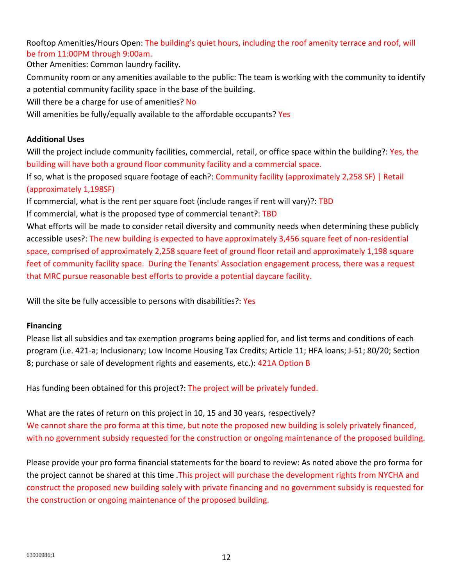Rooftop Amenities/Hours Open: The building's quiet hours, including the roof amenity terrace and roof, will be from 11:00PM through 9:00am.

Other Amenities: Common laundry facility. Community room or any amenities available to the public: The team is working with the community to identify a potential community facility space in the base of the building. Will there be a charge for use of amenities? No Will amenities be fully/equally available to the affordable occupants? Yes

## **Additional Uses**

Will the project include community facilities, commercial, retail, or office space within the building?: Yes, the building will have both a ground floor community facility and a commercial space.

If so, what is the proposed square footage of each?: Community facility (approximately 2,258 SF) | Retail (approximately 1,198SF)

If commercial, what is the rent per square foot (include ranges if rent will vary)?: TBD

If commercial, what is the proposed type of commercial tenant?: TBD

What efforts will be made to consider retail diversity and community needs when determining these publicly accessible uses?: The new building is expected to have approximately 3,456 square feet of non-residential space, comprised of approximately 2,258 square feet of ground floor retail and approximately 1,198 square feet of community facility space. During the Tenants' Association engagement process, there was a request that MRC pursue reasonable best efforts to provide a potential daycare facility.

Will the site be fully accessible to persons with disabilities?: Yes

## **Financing**

Please list all subsidies and tax exemption programs being applied for, and list terms and conditions of each program (i.e. 421-a; Inclusionary; Low Income Housing Tax Credits; Article 11; HFA loans; J-51; 80/20; Section 8; purchase or sale of development rights and easements, etc.): 421A Option B

Has funding been obtained for this project?: The project will be privately funded.

What are the rates of return on this project in 10, 15 and 30 years, respectively? We cannot share the pro forma at this time, but note the proposed new building is solely privately financed, with no government subsidy requested for the construction or ongoing maintenance of the proposed building.

Please provide your pro forma financial statements for the board to review: As noted above the pro forma for the project cannot be shared at this time .This project will purchase the development rights from NYCHA and construct the proposed new building solely with private financing and no government subsidy is requested for the construction or ongoing maintenance of the proposed building.